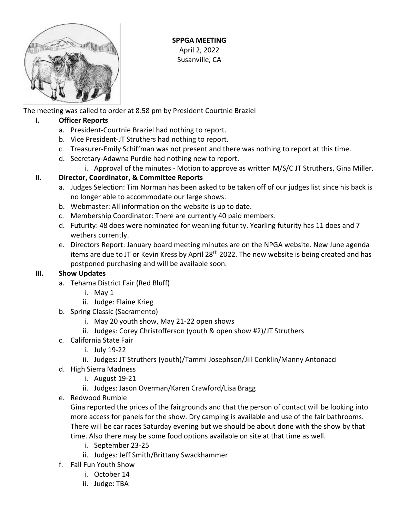

**SPPGA MEETING** April 2, 2022 Susanville, CA

The meeting was called to order at 8:58 pm by President Courtnie Braziel

## **I. Officer Reports**

- a. President-Courtnie Braziel had nothing to report.
- b. Vice President-JT Struthers had nothing to report.
- c. Treasurer-Emily Schiffman was not present and there was nothing to report at this time.
- d. Secretary-Adawna Purdie had nothing new to report.
	- i. Approval of the minutes Motion to approve as written M/S/C JT Struthers, Gina Miller.

# **II. Director, Coordinator, & Committee Reports**

- a. Judges Selection: Tim Norman has been asked to be taken off of our judges list since his back is no longer able to accommodate our large shows.
- b. Webmaster: All information on the website is up to date.
- c. Membership Coordinator: There are currently 40 paid members.
- d. Futurity: 48 does were nominated for weanling futurity. Yearling futurity has 11 does and 7 wethers currently.
- e. Directors Report: January board meeting minutes are on the NPGA website. New June agenda items are due to JT or Kevin Kress by April 28<sup>th</sup> 2022. The new website is being created and has postponed purchasing and will be available soon.

### **III. Show Updates**

- a. Tehama District Fair (Red Bluff)
	- i. May 1
	- ii. Judge: Elaine Krieg
- b. Spring Classic (Sacramento)
	- i. May 20 youth show, May 21-22 open shows
	- ii. Judges: Corey Christofferson (youth & open show #2)/JT Struthers
- c. California State Fair
	- i. July 19-22
	- ii. Judges: JT Struthers (youth)/Tammi Josephson/Jill Conklin/Manny Antonacci
- d. High Sierra Madness
	- i. August 19-21
	- ii. Judges: Jason Overman/Karen Crawford/Lisa Bragg
- e. Redwood Rumble

Gina reported the prices of the fairgrounds and that the person of contact will be looking into more access for panels for the show. Dry camping is available and use of the fair bathrooms. There will be car races Saturday evening but we should be about done with the show by that time. Also there may be some food options available on site at that time as well.

- i. September 23-25
- ii. Judges: Jeff Smith/Brittany Swackhammer
- f. Fall Fun Youth Show
	- i. October 14
	- ii. Judge: TBA